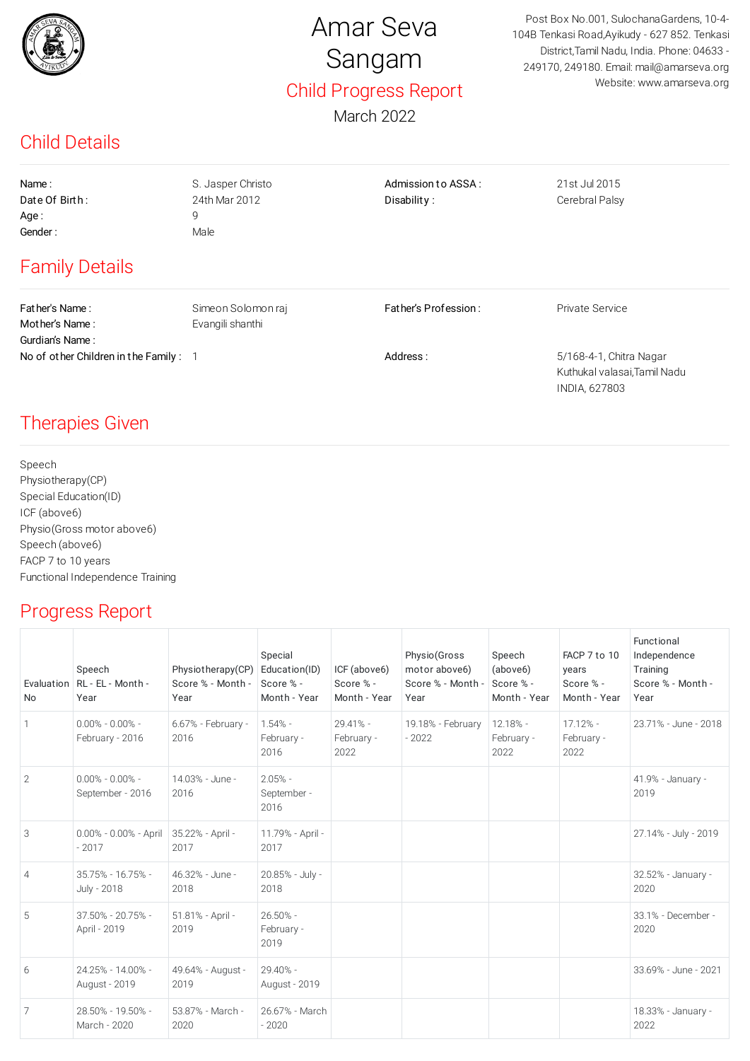

## Amar Seva Sangam Child Progress Report

March 2022

Post Box No.001, SulochanaGardens, 10-4- 104B Tenkasi Road,Ayikudy - 627 852. Tenkasi District,Tamil Nadu, India. Phone: 04633 - 249170, 249180. Email: mail@amarseva.org Website: www.amarseva.org

#### Child Details

Name : Casset Christo Controller Admission to ASSA : 21st Jul 2015  $Aae: 9$ Gender : Male

Date Of Birth: 24th Mar 2012 Disability: Cerebral Palsy

INDIA, 627803

### Family Details

Father's Name : Simeon Solomon raj Father's Profession : Private Service Mother's Name: Evangili shanthi Gurdian's Name : No of other Children in the Family : 1 and 1 Address : 5/168-4-1, Chitra Nagar Kuthukal valasai,Tamil Nadu

#### Therapies Given

Speech Physiotherapy(CP) Special Education(ID) ICF (above6) Physio(Gross motor above6) Speech (above6) FACP 7 to 10 years Functional Independence Training

#### Progress Report

| <b>No</b>      | Speech<br>Evaluation RL - EL - Month -<br>Year | Physiotherapy(CP)<br>Score % - Month -<br>Year | Special<br>Education(ID)<br>Score % -<br>Month - Year | ICF (above6)<br>Score % -<br>Month - Year | Physio(Gross<br>motor above6)<br>Score % - Month -<br>Year | Speech<br>(above6)<br>Score % -<br>Month - Year | FACP 7 to 10<br>years<br>Score % -<br>Month - Year | Functional<br>Independence<br>Training<br>Score % - Month -<br>Year |
|----------------|------------------------------------------------|------------------------------------------------|-------------------------------------------------------|-------------------------------------------|------------------------------------------------------------|-------------------------------------------------|----------------------------------------------------|---------------------------------------------------------------------|
| $\mathbf{1}$   | $0.00\% - 0.00\% -$<br>February - 2016         | 6.67% - February -<br>2016                     | $1.54% -$<br>February -<br>2016                       | 29.41% -<br>February -<br>2022            | 19.18% - February<br>$-2022$                               | $12.18% -$<br>February -<br>2022                | $17.12% -$<br>February -<br>2022                   | 23.71% - June - 2018                                                |
| $\overline{2}$ | $0.00\% - 0.00\% -$<br>September - 2016        | 14.03% - June -<br>2016                        | $2.05% -$<br>September -<br>2016                      |                                           |                                                            |                                                 |                                                    | 41.9% - January -<br>2019                                           |
| 3              | 0.00% - 0.00% - April<br>$-2017$               | 35.22% - April -<br>2017                       | 11.79% - April -<br>2017                              |                                           |                                                            |                                                 |                                                    | 27.14% - July - 2019                                                |
| $\overline{4}$ | $35.75\% - 16.75\% -$<br>July - 2018           | 46.32% - June -<br>2018                        | 20.85% - July -<br>2018                               |                                           |                                                            |                                                 |                                                    | 32.52% - January -<br>2020                                          |
| 5              | 37.50% - 20.75% -<br>April - 2019              | 51.81% - April -<br>2019                       | $26.50\% -$<br>February -<br>2019                     |                                           |                                                            |                                                 |                                                    | 33.1% - December -<br>2020                                          |
| 6              | 24.25% - 14.00% -<br>August - 2019             | 49.64% - August -<br>2019                      | 29.40% -<br>August - 2019                             |                                           |                                                            |                                                 |                                                    | 33.69% - June - 2021                                                |
| 7              | 28.50% - 19.50% -<br>March - 2020              | 53.87% - March -<br>2020                       | 26.67% - March<br>$-2020$                             |                                           |                                                            |                                                 |                                                    | 18.33% - January -<br>2022                                          |